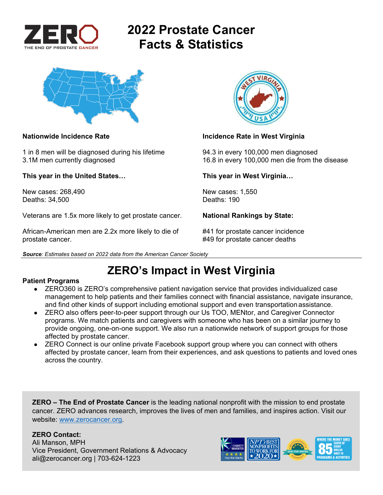

# **2022 Prostate Cancer Facts & Statistics**



1 in 8 men will be diagnosed during his lifetime 94.3 in every 100,000 men diagnosed

**This year in the United States… This year in West Virginia…** 

New cases: 268,490 New cases: 1,550<br>Deaths: 34.500 Deaths: 190 Deaths: 34,500

Veterans are 1.5x more likely to get prostate cancer. **National Rankings by State:** 

African-American men are 2.2x more likely to die of #41 for prostate cancer incidence prostate cancer. #49 for prostate cancer deaths





## **Nationwide Incidence Rate Incidence Rate Incidence Rate in West Virginia**

3.1M men currently diagnosed 16.8 in every 100,000 men die from the disease

*Source: Estimates based on 2022 data from the American Cancer Society* 

## **ZERO's Impact in West Virginia**

### **Patient Programs**

- ZERO360 is ZERO's comprehensive patient navigation service that provides individualized case management to help patients and their families connect with financial assistance, navigate insurance, and find other kinds of support including emotional support and even transportation assistance.
- ZERO also offers peer-to-peer support through our Us TOO, MENtor, and Caregiver Connector programs. We match patients and caregivers with someone who has been on a similar journey to provide ongoing, one-on-one support. We also run a nationwide network of support groups for those affected by prostate cancer.
- ZERO Connect is our online private Facebook support group where you can connect with others affected by prostate cancer, learn from their experiences, and ask questions to patients and loved ones across the country.

**ZERO – The End of Prostate Cancer** is the leading national nonprofit with the mission to end prostate cancer. ZERO advances research, improves the lives of men and families, and inspires action. Visit our website: www.zerocancer.org.

## **ZERO Contact:**

Ali Manson, MPH Vice President, Government Relations & Advocacy ali@zerocancer.org | 703-624-1223

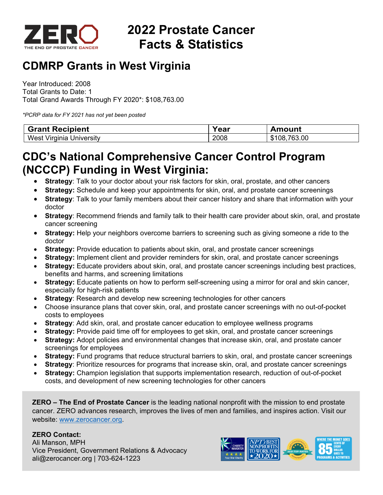

# **2022 Prostate Cancer Facts & Statistics**

## **CDMRP Grants in West Virginia**

Year Introduced: 2008 Total Grants to Date: 1 Total Grand Awards Through FY 2020\*: \$108,763.00

*\*PCRP data for FY 2021 has not yet been posted* 

| <b>Grant Recipient</b>         | 'ear | Amount               |
|--------------------------------|------|----------------------|
| West<br>Virginia<br>University | 2008 | 763.00<br>108.<br>۰D |

## **CDC's National Comprehensive Cancer Control Program (NCCCP) Funding in West Virginia:**

- **Strategy**: Talk to your doctor about your risk factors for skin, oral, prostate, and other cancers
- **Strategy:** Schedule and keep your appointments for skin, oral, and prostate cancer screenings
- **Strategy**: Talk to your family members about their cancer history and share that information with your doctor
- **Strategy**: Recommend friends and family talk to their health care provider about skin, oral, and prostate cancer screening
- **Strategy:** Help your neighbors overcome barriers to screening such as giving someone a ride to the doctor
- **Strategy:** Provide education to patients about skin, oral, and prostate cancer screenings
- **Strategy:** Implement client and provider reminders for skin, oral, and prostate cancer screenings
- **Strategy:** Educate providers about skin, oral, and prostate cancer screenings including best practices, benefits and harms, and screening limitations
- **Strategy:** Educate patients on how to perform self-screening using a mirror for oral and skin cancer, especially for high-risk patients
- **Strategy**: Research and develop new screening technologies for other cancers
- Choose insurance plans that cover skin, oral, and prostate cancer screenings with no out-of-pocket costs to employees
- **Strategy**: Add skin, oral, and prostate cancer education to employee wellness programs
- **Strategy:** Provide paid time off for employees to get skin, oral, and prostate cancer screenings
- **Strategy:** Adopt policies and environmental changes that increase skin, oral, and prostate cancer screenings for employees
- **Strategy:** Fund programs that reduce structural barriers to skin, oral, and prostate cancer screenings
- **Strategy**: Prioritize resources for programs that increase skin, oral, and prostate cancer screenings
- **Strategy:** Champion legislation that supports implementation research, reduction of out-of-pocket costs, and development of new screening technologies for other cancers

**ZERO – The End of Prostate Cancer** is the leading national nonprofit with the mission to end prostate cancer. ZERO advances research, improves the lives of men and families, and inspires action. Visit our website: www.zerocancer.org.

## **ZERO Contact:**

Ali Manson, MPH Vice President, Government Relations & Advocacy ali@zerocancer.org | 703-624-1223